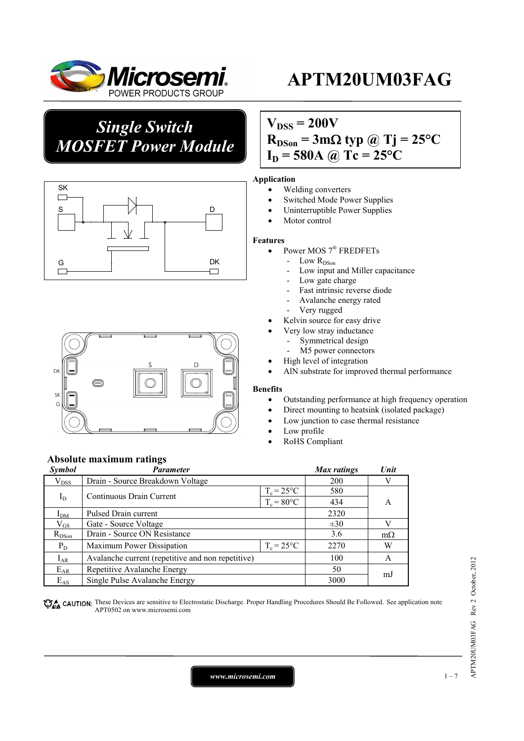

*Single Switch MOSFET Power Module*





**Absolute maximum ratings** 

## $V_{DSS} = 200V$  $R_{DSon} = 3m\Omega$  typ @ Tj = 25<sup>o</sup>C  $I_D = 580A$  @ Tc = 25°C

### **Application**

- Welding converters
- Switched Mode Power Supplies
- Uninterruptible Power Supplies
- Motor control

#### **Features**

- Power MOS 7<sup>®</sup> FREDFETs
	- Low R<sub>DSon</sub>
	- Low input and Miller capacitance
	- Low gate charge
	- Fast intrinsic reverse diode
	- Avalanche energy rated
	- Very rugged
- Kelvin source for easy drive
- Very low stray inductance
	- Symmetrical design
	- M5 power connectors
- High level of integration
- AlN substrate for improved thermal performance

#### **Benefits**

- Outstanding performance at high frequency operation
- Direct mounting to heatsink (isolated package)
- Low junction to case thermal resistance
- Low profile
- RoHS Compliant

| <b>Symbol</b> | <b>Parameter</b>                                  | Max ratings          | Unit     |           |
|---------------|---------------------------------------------------|----------------------|----------|-----------|
| $V_{DSS}$     | Drain - Source Breakdown Voltage                  | <b>200</b>           | V        |           |
|               | Continuous Drain Current                          | $T_c = 25$ °C        | 580      | A         |
| $I_D$         |                                                   | $T_c = 80^{\circ}$ C | 434      |           |
| $I_{DM}$      | Pulsed Drain current                              | 2320                 |          |           |
| $\rm V_{GS}$  | Gate - Source Voltage                             |                      | $\pm 30$ | V         |
| $R_{DSon}$    | Drain - Source ON Resistance                      |                      | 3.6      | $m\Omega$ |
| $P_D$         | Maximum Power Dissipation                         | $T_c = 25$ °C        | 2270     | W         |
| $I_{AR}$      | Avalanche current (repetitive and non repetitive) |                      | 100      | A         |
| $E_{AR}$      | Repetitive Avalanche Energy                       |                      | 50       | m.        |
| $E_{AS}$      | Single Pulse Avalanche Energy                     |                      | 3000     |           |

CAUTION: These Devices are sensitive to Electrostatic Discharge. Proper Handling Procedures Should Be Followed. See application note APT0502 on www.microsemi.com

*www.microsemi.com* 1-7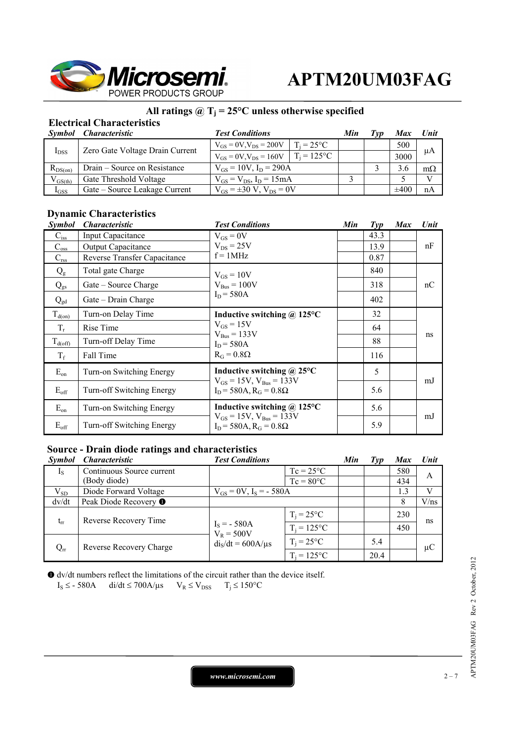

## **All ratings @ Tj = 25°C unless otherwise specified**

## **Electrical Characteristics**

|              | Symbol Characteristic           | <b>Test Conditions</b>              |                     | Min | Tvd | <b>Max</b> | Unit         |
|--------------|---------------------------------|-------------------------------------|---------------------|-----|-----|------------|--------------|
| $I_{DSS}$    | Zero Gate Voltage Drain Current | $V_{GS} = 0V$ , $V_{DS} = 200V$     | $T_i = 25^{\circ}C$ |     |     | 500        | μA           |
|              |                                 | $V_{GS} = 0V$ , $V_{DS} = 160V$     | $T_i = 125$ °C      |     |     | 3000       |              |
| $R_{DS(on)}$ | Drain – Source on Resistance    | $V_{GS} = 10V$ , $I_D = 290A$       |                     |     |     | 3.6        | $m\Omega$    |
| $V_{GS(th)}$ | Gate Threshold Voltage          | $V_{GS} = V_{DS}$ , $I_D = 15mA$    |                     |     |     |            | $\mathbf{V}$ |
| $I_{GSS}$    | Gate – Source Leakage Current   | $V_{GS} = \pm 30 V$ , $V_{DS} = 0V$ |                     |     |     | $\pm 400$  | nA           |

### **Dynamic Characteristics**

| <b>Symbol</b>    | <i><b>Characteristic</b></i> | <b>Test Conditions</b>                                                                                 | Min | $\mathcal{I}yp$ | <b>Max</b> | Unit |
|------------------|------------------------------|--------------------------------------------------------------------------------------------------------|-----|-----------------|------------|------|
| $C_{iss}$        | <b>Input Capacitance</b>     | $V_{GS} = 0V$                                                                                          |     | 43.3            |            |      |
| $C_{\rm oss}$    | <b>Output Capacitance</b>    | $V_{DS}$ = 25V                                                                                         |     | 13.9            |            | nF   |
| $C_{\rm rss}$    | Reverse Transfer Capacitance | $f = 1MHz$                                                                                             |     | 0.87            |            |      |
| $Q_{g}$          | Total gate Charge            | $V_{GS} = 10V$                                                                                         |     | 840             |            |      |
| $Q_{gs}$         | Gate – Source Charge         | $V_{\text{Bus}} = 100V$                                                                                |     | 318             |            | nC   |
| $Q_{gd}$         | Gate – Drain Charge          | $I_D = 580A$                                                                                           |     | 402             |            |      |
| $T_{d(0n)}$      | Turn-on Delay Time           | Inductive switching @ 125°C<br>$V_{GS} = 15V$<br>$V_{Bus} = 133V$<br>$I_D = 580A$<br>$R_G = 0.8\Omega$ |     | 32              |            |      |
| $T_r$            | Rise Time                    |                                                                                                        |     | 64              |            | ns   |
| $T_{d(off)}$     | Turn-off Delay Time          |                                                                                                        |     | 88              |            |      |
| $T_f$            | Fall Time                    |                                                                                                        |     | 116             |            |      |
| $E_{on}$         | Turn-on Switching Energy     | Inductive switching $\omega$ 25°C                                                                      |     | 5               |            |      |
| $E_{\text{off}}$ | Turn-off Switching Energy    | $V_{GS} = 15V$ , $V_{Bus} = 133V$<br>$I_D$ = 580A, $R_G$ = 0.8 $\Omega$                                |     | 5.6             |            | mJ   |
| $E_{on}$         | Turn-on Switching Energy     | Inductive switching $\omega$ 125°C                                                                     |     | 5.6             |            |      |
| $E_{\text{off}}$ | Turn-off Switching Energy    | $V_{GS} = 15V$ , $V_{Bus} = 133V$<br>$I_D$ = 580A, R <sub>G</sub> = 0.8Ω                               |     | 5.9             |            | mJ   |

### **Source - Drain diode ratings and characteristics**

| <b>Symbol</b> | <i><b>Characteristic</b></i> | <b>Test Conditions</b>        |                     | Min | Typ  | <b>Max</b> | <b>Unit</b> |
|---------------|------------------------------|-------------------------------|---------------------|-----|------|------------|-------------|
| $I_{S}$       | Continuous Source current    |                               | $Tc = 25^{\circ}C$  |     |      | 580        | A           |
|               | (Body diode)                 |                               | $Tc = 80^{\circ}C$  |     |      | 434        |             |
| $V_{SD}$      | Diode Forward Voltage        | $V_{GS} = 0V$ , $I_S = -580A$ |                     |     |      | 1.3        | V           |
| dv/dt         | Peak Diode Recovery ●        |                               |                     |     |      |            | V/ns        |
| $t_{rr}$      | Reverse Recovery Time        |                               | $T_i = 25^{\circ}C$ |     |      | 230        | ns          |
|               |                              | $I_S = -580A$<br>$V_R = 500V$ | $T_i = 125$ °C      |     |      | 450        |             |
| $Q_{rr}$      | Reverse Recovery Charge      | $dis/dt = 600A/µs$            | $T_i = 25^{\circ}C$ |     | 5.4  |            | $\mu$ C     |
|               |                              |                               | $T_i = 125$ °C      |     | 20.4 |            |             |

 dv/dt numbers reflect the limitations of the circuit rather than the device itself.  $I_S \leq -580A$  di/dt  $\leq 700A/\mu s$   $V_R \leq V_{DSS}$   $T_i \leq 150^{\circ}C$ 

*www.microsemi.com* 2-7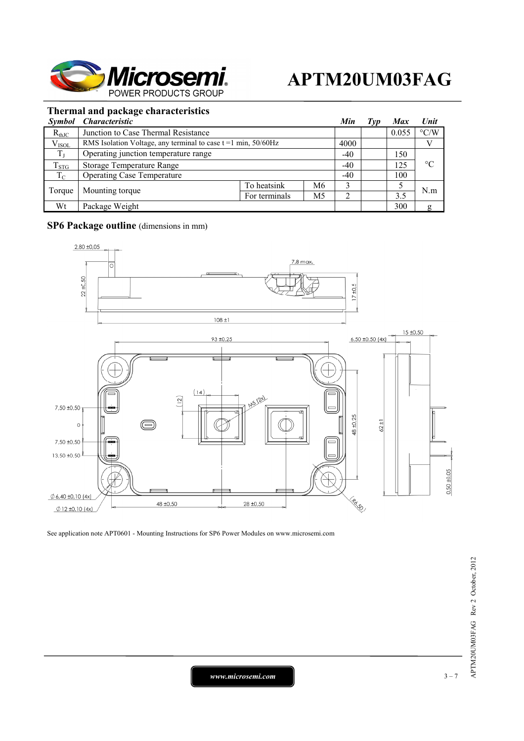

## **Thermal and package characteristics**

|             | Symbol Characteristic                                            |               |                | Min   | l vp | <b>Max</b> | Unit               |
|-------------|------------------------------------------------------------------|---------------|----------------|-------|------|------------|--------------------|
| $R_{thJC}$  | Junction to Case Thermal Resistance                              |               |                |       |      | 0.055      | $\rm ^{\circ} C/W$ |
| $V_{ISOL}$  | RMS Isolation Voltage, any terminal to case $t = 1$ min, 50/60Hz |               |                | 4000  |      |            |                    |
| $T_{J}$     | Operating junction temperature range                             |               |                | $-40$ |      | 150        | $\rm ^{\circ}C$    |
| $T_{STG}$   | <b>Storage Temperature Range</b>                                 |               |                | $-40$ |      | 125        |                    |
| $T_{\rm C}$ | <b>Operating Case Temperature</b>                                |               |                | $-40$ |      | 100        |                    |
| Torque      | Mounting torque                                                  | To heatsink   | M <sub>6</sub> |       |      |            | N.m                |
|             |                                                                  | For terminals | M5             |       |      | 3.5        |                    |
| Wt          | Package Weight                                                   |               |                |       |      | 300        | g                  |

### **SP6 Package outline** (dimensions in mm)



See application note APT0601 - Mounting Instructions for SP6 Power Modules on www.microsemi.com

*www.microsemi.com* 3-7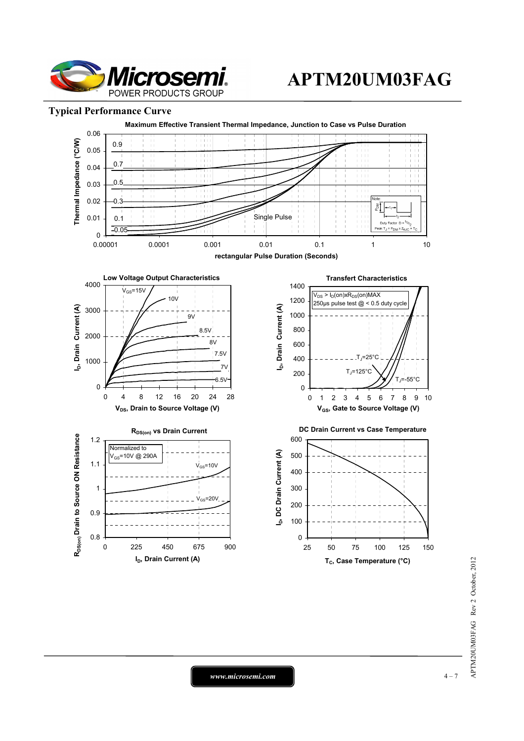

### **Typical Performance Curve**



*www.microsemi.com* 4-7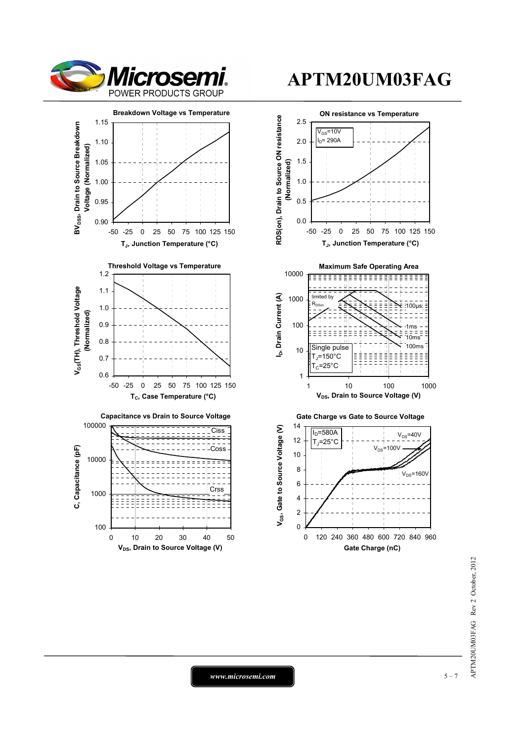







*www.microsemi.com* 5-7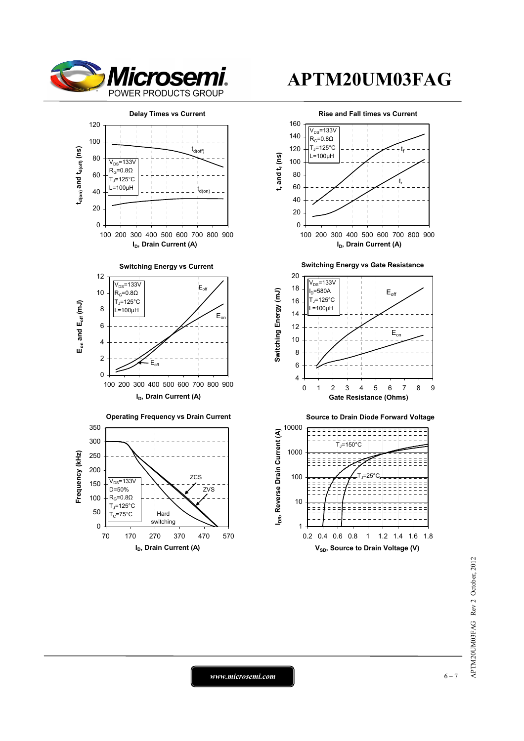

t,

Eon

t,



APTM20UM03FAG Rev 2 October, 2012 APTM20UM03FAG Rev 2 October, 2012

*www.microsemi.com* 6-7